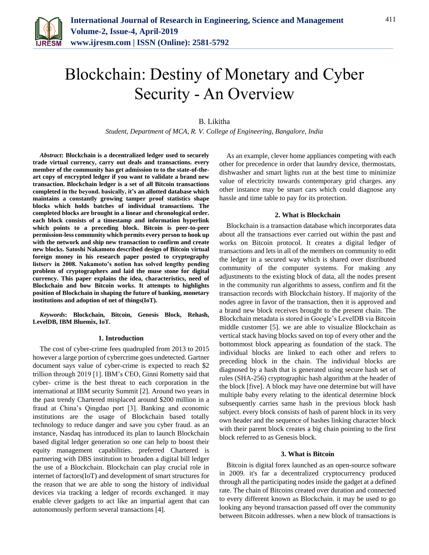

# Blockchain: Destiny of Monetary and Cyber Security - An Overview

# B. Likitha

*Student, Department of MCA, R. V. College of Engineering, Bangalore, India*

*Abstract***: Blockchain is a decentralized ledger used to securely trade virtual currency, carry out deals and transactions. every member of the community has get admission to to the state-of-theart copy of encrypted ledger if you want to validate a brand new transaction. Blockchain ledger is a set of all Bitcoin transactions completed in the beyond. basically, it's an allotted database which maintains a constantly growing tamper proof statistics shape blocks which holds batches of individual transactions. The completed blocks are brought in a linear and chronological order. each block consists of a timestamp and information hyperlink which points to a preceding block. Bitcoin is peer-to-peer permission-less community which permits every person to hook up with the network and ship new transaction to confirm and create new blocks. Satoshi Nakamoto described design of Bitcoin virtual foreign money in his research paper posted to cryptography listserv in 2008. Nakamoto's notion has solved lengthy pending problem of cryptographers and laid the muse stone for digital currency. This paper explains the idea, characteristics, need of Blockchain and how Bitcoin works. It attempts to highlights position of Blockchain in shaping the future of banking, monetary institutions and adoption of net of things(IoT).**

*Keywords***: Blockchain, Bitcoin, Genesis Block, Rehash, LevelDB, IBM Bluemix, IoT.**

#### **1. Introduction**

The cost of cyber-crime fees quadrupled from 2013 to 2015 however a large portion of cybercrime goes undetected. Gartner document says value of cyber-crime is expected to reach \$2 trillion through 2019 [1]. IBM's CEO, Ginni Rometty said that cyber- crime is the best threat to each corporation in the international at IBM security Summit [2]. Around two years in the past trendy Chartered misplaced around \$200 million in a fraud at China's Qingdao port [3]. Banking and economic institutions are the usage of Blockchain based totally technology to reduce danger and save you cyber fraud. as an instance, Nasdaq has introduced its plan to launch Blockchain based digital ledger generation so one can help to boost their equity management capabilities. preferred Chartered is partnering with DBS institution to broaden a digital bill ledger the use of a Blockchain. Blockchain can play crucial role in internet of factors(IoT) and development of smart structures for the reason that we are able to song the history of individual devices via tracking a ledger of records exchanged. it may enable clever gadgets to act like an impartial agent that can autonomously perform several transactions [4].

As an example, clever home appliances competing with each other for precedence in order that laundry device, thermostats, dishwasher and smart lights run at the best time to minimize value of electricity towards contemporary grid charges. any other instance may be smart cars which could diagnose any hassle and time table to pay for its protection.

# **2. What is Blockchain**

Blockchain is a transaction database which incorporates data about all the transactions ever carried out within the past and works on Bitcoin protocol. It creates a digital ledger of transactions and lets in all of the members on community to edit the ledger in a secured way which is shared over distributed community of the computer systems. For making any adjustments to the existing block of data, all the nodes present in the community run algorithms to assess, confirm and fit the transaction records with Blockchain history. If majority of the nodes agree in favor of the transaction, then it is approved and a brand new block receives brought to the present chain. The Blockchain metadata is stored in Google's LevelDB via Bitcoin middle customer [5]. we are able to visualize Blockchain as vertical stack having blocks saved on top of every other and the bottommost block appearing as foundation of the stack. The individual blocks are linked to each other and refers to preceding block in the chain. The individual blocks are diagnosed by a hash that is generated using secure hash set of rules (SHA-256) cryptographic hash algorithm at the header of the block [five]. A block may have one determine but will have multiple baby every relating to the identical determine block subsequently carries same hash in the previous block hash subject. every block consists of hash of parent block in its very own header and the sequence of hashes linking character block with their parent block creates a big chain pointing to the first block referred to as Genesis block.

#### **3. What is Bitcoin**

Bitcoin is digital forex launched as an open-source software in 2009. it's far a decentralized cryptocurrency produced through all the participating nodes inside the gadget at a defined rate. The chain of Bitcoins created over duration and connected to every different known as Blockchain. it may be used to go looking any beyond transaction passed off over the community between Bitcoin addresses. when a new block of transactions is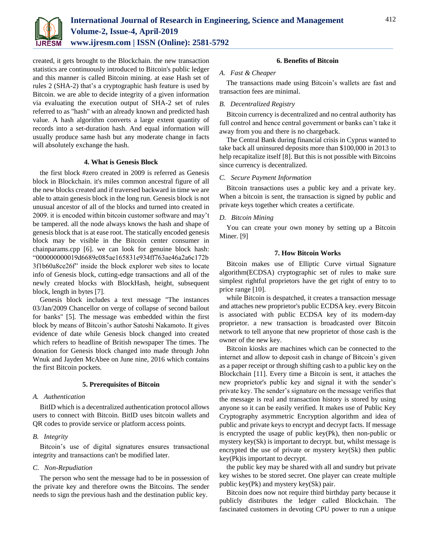

created, it gets brought to the Blockchain. the new transaction statistics are continuously introduced to Bitcoin's public ledger and this manner is called Bitcoin mining. at ease Hash set of rules 2 (SHA-2) that's a cryptographic hash feature is used by Bitcoin. we are able to decide integrity of a given information via evaluating the execution output of SHA-2 set of rules referred to as "hash" with an already known and predicted hash value. A hash algorithm converts a large extent quantity of records into a set-duration hash. And equal information will usually produce same hash but any moderate change in facts will absolutely exchange the hash.

# **4. What is Genesis Block**

the first block #zero created in 2009 is referred as Genesis block in Blockchain. it's miles common ancestral figure of all the new blocks created and if traversed backward in time we are able to attain genesis block in the long run. Genesis block is not unusual ancestor of all of the blocks and turned into created in 2009. it is encoded within bitcoin customer software and may't be tampered. all the node always knows the hash and shape of genesis block that is at ease root. The statically encoded genesis block may be visible in the Bitcoin center consumer in chainparams.cpp [6]. we can look for genuine block hash: "000000000019d6689c085ae165831e934ff763ae46a2a6c172b 3f1b60a8ce26f" inside the block explorer web sites to locate info of Genesis block, cutting-edge transactions and all of the newly created blocks with BlockHash, height, subsequent block, length in bytes [7].

Genesis block includes a text message "The instances 03/Jan/2009 Chancellor on verge of collapse of second bailout for banks" [5]. The message was embedded within the first block by means of Bitcoin's author Satoshi Nakamoto. It gives evidence of date while Genesis block changed into created which refers to headline of British newspaper The times. The donation for Genesis block changed into made through John Wnuk and Jayden McAbee on June nine, 2016 which contains the first Bitcoin pockets.

# **5. Prerequisites of Bitcoin**

#### *A. Authentication*

BitID which is a decentralized authentication protocol allows users to connect with Bitcoin. BitID uses bitcoin wallets and QR codes to provide service or platform access points.

#### *B. Integrity*

Bitcoin's use of digital signatures ensures transactional integrity and transactions can't be modified later.

# *C. Non-Repudiation*

The person who sent the message had to be in possession of the private key and therefore owns the Bitcoins. The sender needs to sign the previous hash and the destination public key.

# **6. Benefits of Bitcoin**

#### *A. Fast & Cheaper*

The transactions made using Bitcoin's wallets are fast and transaction fees are minimal.

#### *B. Decentralized Registry*

Bitcoin currency is decentralized and no central authority has full control and hence central government or banks can't take it away from you and there is no chargeback.

The Central Bank during financial crisis in Cyprus wanted to take back all uninsured deposits more than \$100,000 in 2013 to help recapitalize itself [8]. But this is not possible with Bitcoins since currency is decentralized.

# *C. Secure Payment Information*

Bitcoin transactions uses a public key and a private key. When a bitcoin is sent, the transaction is signed by public and private keys together which creates a certificate.

#### *D. Bitcoin Mining*

You can create your own money by setting up a Bitcoin Miner. [9]

# **7. How Bitcoin Works**

Bitcoin makes use of Elliptic Curve virtual Signature algorithm(ECDSA) cryptographic set of rules to make sure simplest rightful proprietors have the get right of entry to to price range [10].

while Bitcoin is despatched, it creates a transaction message and attaches new proprietor's public ECDSA key. every Bitcoin is associated with public ECDSA key of its modern-day proprietor. a new transaction is broadcasted over Bitcoin network to tell anyone that new proprietor of those cash is the owner of the new key.

Bitcoin kiosks are machines which can be connected to the internet and allow to deposit cash in change of Bitcoin's given as a paper receipt or through shifting cash to a public key on the Blockchain [11]. Every time a Bitcoin is sent, it attaches the new proprietor's public key and signal it with the sender's private key. The sender's signature on the message verifies that the message is real and transaction history is stored by using anyone so it can be easily verified. It makes use of Public Key Cryptography asymmetric Encryption algorithm and idea of public and private keys to encrypt and decrypt facts. If message is encrypted the usage of public key(Pk), then non-public or mystery key(Sk) is important to decrypt. but, whilst message is encrypted the use of private or mystery key(Sk) then public key(Pk)is important to decrypt.

the public key may be shared with all and sundry but private key wishes to be stored secret. One player can create multiple public key(Pk) and mystery key(Sk) pair.

Bitcoin does now not require third birthday party because it publicly distributes the ledger called Blockchain. The fascinated customers in devoting CPU power to run a unique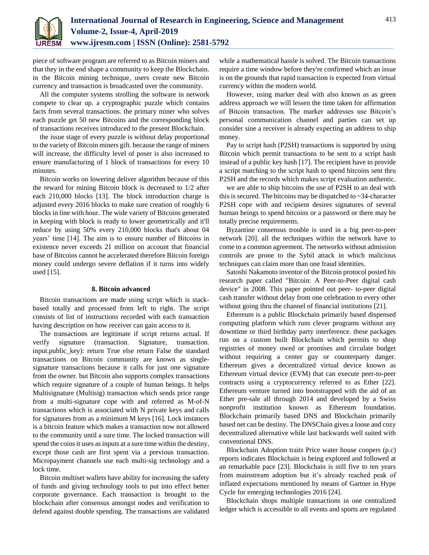

piece of software program are referred to as Bitcoin miners and that they in the end shape a community to keep the Blockchain. in the Bitcoin mining technique, users create new Bitcoin currency and transaction is broadcasted over the community.

All the computer systems strolling the software in network compete to clear up. a cryptographic puzzle which contains facts from several transactions. the primary miner who solves each puzzle get 50 new Bitcoins and the corresponding block of transactions receives introduced to the present Blockchain.

the issue stage of every puzzle is without delay proportional to the variety of Bitcoin miners gift. because the range of miners will increase, the difficulty level of poser is also increased to ensure manufacturing of 1 block of transactions for every 10 minutes.

Bitcoin works on lowering deliver algorithm because of this the reward for mining Bitcoin block is decreased to 1/2 after each 210,000 blocks [13]. The block introduction charge is adjusted every 2016 blocks to make sure creation of roughly 6 blocks in line with hour. The wide variety of Bitcoins generated in keeping with block is ready to lower geometrically and it'll reduce by using 50% every 210,000 blocks that's about 04 years' time [14]. The aim is to ensure number of Bitcoins in existence never exceeds 21 million on account that financial base of Bitcoins cannot be accelerated therefore Bitcoin foreign money could undergo severe deflation if it turns into widely used [15].

# **8. Bitcoin advanced**

Bitcoin transactions are made using script which is stackbased totally and processed from left to right. The script consists of list of instructions recorded with each transaction having description on how receiver can gain access to it.

The transactions are legitimate if script returns actual. If verify signature (transaction. Signature, transaction. input.public\_key): return True else return False the standard transactions on Bitcoin community are known as singlesignature transactions because it calls for just one signature from the owner. but Bitcoin also supports complex transactions which require signature of a couple of human beings. It helps Multisignature (Multisig) transaction which sends price range from a multi-signature cope with and referred as M-of-N transactions which is associated with N private keys and calls for signatures from as a minimum M keys [16]. Lock instances is a bitcoin feature which makes a transaction now not allowed to the community until a sure time. The locked transaction will spend the coins it uses as inputs at a sure time within the destiny, except those cash are first spent via a previous transaction. Micropayment channels use each multi-sig technology and a lock time.

Bitcoin multiset wallets have ability for increasing the safety of funds and giving technology tools to put into effect better corporate governance. Each transaction is brought to the blockchain after consensus amongst nodes and verification to defend against double spending. The transactions are validated while a mathematical hassle is solved. The Bitcoin transactions require a time window before they're confirmed which an issue is on the grounds that rapid transaction is expected from virtual currency within the modern world.

However, using marker deal with also known as as green address approach we will lessen the time taken for affirmation of Bitcoin transaction. The marker addresses use Bitcoin's personal communication channel and parties can set up consider sine a receiver is already expecting an address to ship money.

Pay to script hash (P2SH) transactions is supported by using Bitcoin which permit transactions to be sent to a script hash instead of a public key hash [17]. The recipient have to provide a script matching to the script hash to spend bitcoins sent thru P2SH and the records which makes script evaluation authentic.

we are able to ship bitcoins the use of P2SH to an deal with this is secured. The bitcoins may be dispatched to  $\sim$ 34-character P2SH cope with and recipient desires signatures of several human beings to spend bitcoins or a password or there may be totally precise requirements.

Byzantine consensus trouble is used in a big peer-to-peer network [20]. all the techniques within the network have to come to a common agreement. The networks without admission controls are prone to the Sybil attack in which malicious techniques can claim more than one fraud identities.

Satoshi Nakamoto inventor of the Bitcoin protocol posted his research paper called "Bitcoin: A Peer-to-Peer digital cash device" in 2008. This paper pointed out peer- to-peer digital cash transfer without delay from one celebration to every other without going thru the channel of financial institutions [21].

Ethereum is a public Blockchain primarily based dispensed computing platform which runs clever programs without any downtime or third birthday party interference. these packages run on a custom built Blockchain which permits to shop registries of money owed or promises and circulate budget without requiring a center guy or counterparty danger. Ethereum gives a decentralized virtual device known as Ethereum virtual device (EVM) that can execute peer-to-peer contracts using a cryptocurrency referred to as Ether [22]. Ethereum venture turned into bootstrapped with the aid of an Ether pre-sale all through 2014 and developed by a Swiss nonprofit institution known as Ethereum foundation. Blockchain primarily based DNS and Blockchain primarily based net can be destiny. The DNSChain gives a loose and cozy decentralized alternative while last backwards well suited with conventional DNS.

Blockchain Adoption traits Price water house coopers (p.c) reports indicates Blockchain is being explored and followed at an remarkable pace [23]. Blockchain is still five to ten years from mainstream adoption but it's already reached peak of inflated expectations mentioned by means of Gartner in Hype Cycle for emerging technologies 2016 [24].

Blockchain shops multiple transactions in one centralized ledger which is accessible to all events and sports are regulated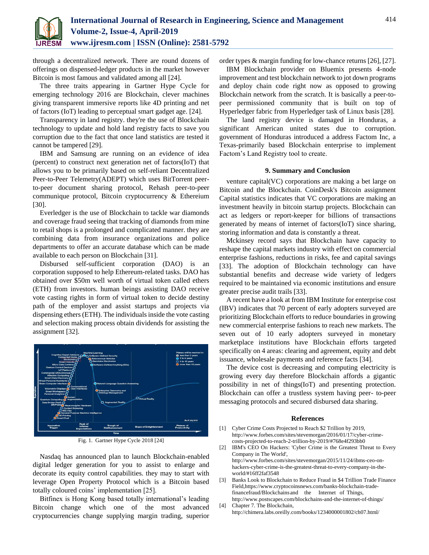

through a decentralized network. There are round dozens of offerings on dispensed-ledger products in the market however Bitcoin is most famous and validated among all [24].

The three traits appearing in Gartner Hype Cycle for emerging technology 2016 are Blockchain, clever machines giving transparent immersive reports like 4D printing and net of factors (IoT) leading to perceptual smart gadget age. [24].

Transparency in land registry. they're the use of Blockchain technology to update and hold land registry facts to save you corruption due to the fact that once land statistics are tested it cannot be tampered [29].

IBM and Samsung are running on an evidence of idea (percent) to construct next generation net of factors(IoT) that allows you to be primarily based on self-reliant Decentralized Peer-to-Peer Telemetry(ADEPT) which uses BitTorrent peerto-peer document sharing protocol, Rehash peer-to-peer communique protocol, Bitcoin cryptocurrency & Ethereium [30].

Everledger is the use of Blockchain to tackle war diamonds and coverage fraud seeing that tracking of diamonds from mine to retail shops is a prolonged and complicated manner. they are combining data from insurance organizations and police departments to offer an accurate database which can be made available to each person on Blockchain [31].

Disbursed self-sufficient corporation (DAO) is an corporation supposed to help Ethereum-related tasks. DAO has obtained over \$50m well worth of virtual token called ethers (ETH) from investors. human beings assisting DAO receive vote casting rights in form of virtual token to decide destiny path of the employer and assist startups and projects via dispensing ethers (ETH). The individuals inside the vote casting and selection making process obtain dividends for assisting the assignment [32].



Fig. 1. Gartner Hype Cycle 2018 [24]

Nasdaq has announced plan to launch Blockchain-enabled digital ledger generation for you to assist to enlarge and decorate its equity control capabilities. they may to start with leverage Open Property Protocol which is a Bitcoin based totally coloured coins' implementation [25].

Bitfinex is Hong Kong based totally international's leading Bitcoin change which one of the most advanced cryptocurrencies change supplying margin trading, superior order types & margin funding for low-chance returns [26], [27].

IBM Blockchain provider on Bluemix presents 4-node improvement and test blockchain network to jot down programs and deploy chain code right now as opposed to growing Blockchain network from the scratch. It is basically a peer-topeer permissioned community that is built on top of Hyperledger fabric from Hyperledger task of Linux basis [28].

The land registry device is damaged in Honduras, a significant American united states due to corruption. government of Honduras introduced a address Factom Inc, a Texas-primarily based Blockchain enterprise to implement Factom's Land Registry tool to create.

# **9. Summary and Conclusion**

venture capital(VC) corporations are making a bet large on Bitcoin and the Blockchain. CoinDesk's Bitcoin assignment Capital statistics indicates that VC corporations are making an investment heavily in bitcoin startup projects. Blockchain can act as ledgers or report-keeper for billions of transactions generated by means of internet of factors(IoT) since sharing, storing information and data is constantly a threat.

Mckinsey record says that Blockchain have capacity to reshape the capital markets industry with effect on commercial enterprise fashions, reductions in risks, fee and capital savings [33]. The adoption of Blockchain technology can have substantial benefits and decrease wide variety of ledgers required to be maintained via economic institutions and ensure greater precise audit trails [33].

A recent have a look at from IBM Institute for enterprise cost (IBV) indicates that 70 percent of early adopters surveyed are prioritizing Blockchain efforts to reduce boundaries in growing new commercial enterprise fashions to reach new markets. The seven out of 10 early adopters surveyed in monetary marketplace institutions have Blockchain efforts targeted specifically on 4 areas: clearing and agreement, equity and debt issuance, wholesale payments and reference facts [34].

The device cost is decreasing and computing electricity is growing every day therefore Blockchain affords a gigantic possibility in net of things(IoT) and presenting protection. Blockchain can offer a trustless system having peer- to-peer messaging protocols and secured disbursed data sharing.

#### **References**

- [1] Cyber Crime Costs Projected to Reach \$2 Trillion by 2019, http://www.forbes.com/sites/stevemorgan/2016/01/17/cyber-crimecosts-projected-to-reach-2-trillion-by-2019/#768e4f293bb0
- [2] IBM's CEO On Hackers: 'Cyber Crime is the Greatest Threat to Every Company in The World', http://www.forbes.com/sites/stevemorgan/2015/11/24/ibms-ceo-on-
- hackers-cyber-crime-is-the-greatest-threat-to-every-company-in-theworld/#16ff2faf3548
- [3] Banks Look to Blockchain to Reduce Fraud in \$4 Trillion Trade Finance Field,https://www.cryptocoinsnews.com/banks-blockchain-tradefinancefraud/Blockchainsand the Internet of Things, http://www.postscapes.com/blockchains-and-the-internet-of-things/

[4] Chapter 7. The Blockchain, http://chimera.labs.oreilly.com/books/1234000001802/ch07.html/